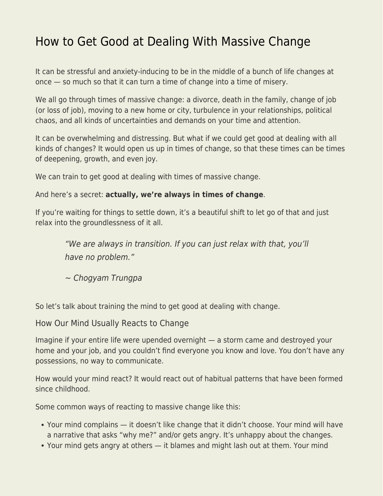## [How to Get Good at Dealing With Massive Change](https://everything-voluntary.com/how-to-get-good-at-dealing-with-massive-change)

It can be stressful and anxiety-inducing to be in the middle of a bunch of life changes at once — so much so that it can turn a time of change into a time of misery.

We all go through times of massive change: a divorce, death in the family, change of job (or loss of job), moving to a new home or city, turbulence in your relationships, political chaos, and all kinds of uncertainties and demands on your time and attention.

It can be overwhelming and distressing. But what if we could get good at dealing with all kinds of changes? It would open us up in times of change, so that these times can be times of deepening, growth, and even joy.

We can train to get good at dealing with times of massive change.

## And here's a secret: **actually, we're always in times of change**.

If you're waiting for things to settle down, it's a beautiful shift to let go of that and just relax into the groundlessness of it all.

"We are always in transition. If you can just relax with that, you'll have no problem."

~ Chogyam Trungpa

So let's talk about training the mind to get good at dealing with change.

How Our Mind Usually Reacts to Change

Imagine if your entire life were upended overnight — a storm came and destroyed your home and your job, and you couldn't find everyone you know and love. You don't have any possessions, no way to communicate.

How would your mind react? It would react out of habitual patterns that have been formed since childhood.

Some common ways of reacting to massive change like this:

- Your mind complains it doesn't like change that it didn't choose. Your mind will have a narrative that asks "why me?" and/or gets angry. It's unhappy about the changes.
- Your mind gets angry at others it blames and might lash out at them. Your mind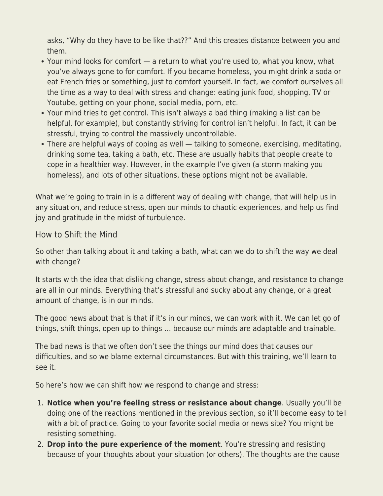asks, "Why do they have to be like that??" And this creates distance between you and them.

- Your mind looks for comfort a return to what you're used to, what you know, what you've always gone to for comfort. If you became homeless, you might drink a soda or eat French fries or something, just to comfort yourself. In fact, we comfort ourselves all the time as a way to deal with stress and change: eating junk food, shopping, TV or Youtube, getting on your phone, social media, porn, etc.
- Your mind tries to get control. This isn't always a bad thing (making a list can be helpful, for example), but constantly striving for control isn't helpful. In fact, it can be stressful, trying to control the massively uncontrollable.
- There are helpful ways of coping as well talking to someone, exercising, meditating, drinking some tea, taking a bath, etc. These are usually habits that people create to cope in a healthier way. However, in the example I've given (a storm making you homeless), and lots of other situations, these options might not be available.

What we're going to train in is a different way of dealing with change, that will help us in any situation, and reduce stress, open our minds to chaotic experiences, and help us find joy and gratitude in the midst of turbulence.

## How to Shift the Mind

So other than talking about it and taking a bath, what can we do to shift the way we deal with change?

It starts with the idea that disliking change, stress about change, and resistance to change are all in our minds. Everything that's stressful and sucky about any change, or a great amount of change, is in our minds.

The good news about that is that if it's in our minds, we can work with it. We can let go of things, shift things, open up to things … because our minds are adaptable and trainable.

The bad news is that we often don't see the things our mind does that causes our difficulties, and so we blame external circumstances. But with this training, we'll learn to see it.

So here's how we can shift how we respond to change and stress:

- 1. **Notice when you're feeling stress or resistance about change**. Usually you'll be doing one of the reactions mentioned in the previous section, so it'll become easy to tell with a bit of practice. Going to your favorite social media or news site? You might be resisting something.
- 2. **Drop into the pure experience of the moment**. You're stressing and resisting because of your thoughts about your situation (or others). The thoughts are the cause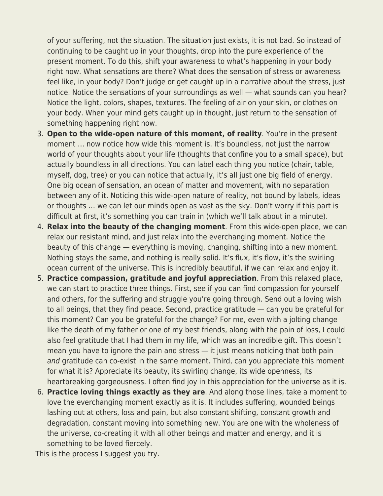of your suffering, not the situation. The situation just exists, it is not bad. So instead of continuing to be caught up in your thoughts, drop into the pure experience of the present moment. To do this, shift your awareness to what's happening in your body right now. What sensations are there? What does the sensation of stress or awareness feel like, in your body? Don't judge or get caught up in a narrative about the stress, just notice. Notice the sensations of your surroundings as well — what sounds can you hear? Notice the light, colors, shapes, textures. The feeling of air on your skin, or clothes on your body. When your mind gets caught up in thought, just return to the sensation of something happening right now.

- 3. **Open to the wide-open nature of this moment, of reality**. You're in the present moment … now notice how wide this moment is. It's boundless, not just the narrow world of your thoughts about your life (thoughts that confine you to a small space), but actually boundless in all directions. You can label each thing you notice (chair, table, myself, dog, tree) or you can notice that actually, it's all just one big field of energy. One big ocean of sensation, an ocean of matter and movement, with no separation between any of it. Noticing this wide-open nature of reality, not bound by labels, ideas or thoughts … we can let our minds open as vast as the sky. Don't worry if this part is difficult at first, it's something you can train in (which we'll talk about in a minute).
- 4. **Relax into the beauty of the changing moment**. From this wide-open place, we can relax our resistant mind, and just relax into the everchanging moment. Notice the beauty of this change — everything is moving, changing, shifting into a new moment. Nothing stays the same, and nothing is really solid. It's flux, it's flow, it's the swirling ocean current of the universe. This is incredibly beautiful, if we can relax and enjoy it.
- 5. **Practice compassion, gratitude and joyful appreciation**. From this relaxed place, we can start to practice three things. First, see if you can find compassion for yourself and others, for the suffering and struggle you're going through. Send out a loving wish to all beings, that they find peace. Second, practice gratitude — can you be grateful for this moment? Can you be grateful for the change? For me, even with a jolting change like the death of my father or one of my best friends, along with the pain of loss, I could also feel gratitude that I had them in my life, which was an incredible gift. This doesn't mean you have to ignore the pain and stress — it just means noticing that both pain and gratitude can co-exist in the same moment. Third, can you appreciate this moment for what it is? Appreciate its beauty, its swirling change, its wide openness, its heartbreaking gorgeousness. I often find joy in this appreciation for the universe as it is.
- 6. **Practice loving things exactly as they are**. And along those lines, take a moment to love the everchanging moment exactly as it is. It includes suffering, wounded beings lashing out at others, loss and pain, but also constant shifting, constant growth and degradation, constant moving into something new. You are one with the wholeness of the universe, co-creating it with all other beings and matter and energy, and it is something to be loved fiercely.

This is the process I suggest you try.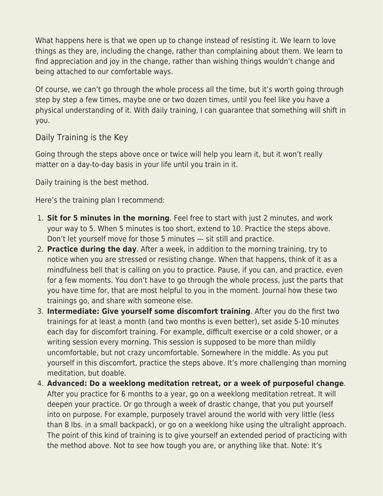What happens here is that we open up to change instead of resisting it. We learn to love things as they are, including the change, rather than complaining about them. We learn to find appreciation and joy in the change, rather than wishing things wouldn't change and being attached to our comfortable ways.

Of course, we can't go through the whole process all the time, but it's worth going through step by step a few times, maybe one or two dozen times, until you feel like you have a physical understanding of it. With daily training, I can guarantee that something will shift in you.

Daily Training is the Key

Going through the steps above once or twice will help you learn it, but it won't really matter on a day-to-day basis in your life until you train in it.

Daily training is the best method.

Here's the training plan I recommend:

- 1. **Sit for 5 minutes in the morning**. Feel free to start with just 2 minutes, and work your way to 5. When 5 minutes is too short, extend to 10. Practice the steps above. Don't let yourself move for those 5 minutes — sit still and practice.
- 2. **Practice during the day**. After a week, in addition to the morning training, try to notice when you are stressed or resisting change. When that happens, think of it as a mindfulness bell that is calling on you to practice. Pause, if you can, and practice, even for a few moments. You don't have to go through the whole process, just the parts that you have time for, that are most helpful to you in the moment. Journal how these two trainings go, and share with someone else.
- 3. **Intermediate: Give yourself some discomfort training**. After you do the first two trainings for at least a month (and two months is even better), set aside 5-10 minutes each day for discomfort training. For example, difficult exercise or a cold shower, or a writing session every morning. This session is supposed to be more than mildly uncomfortable, but not crazy uncomfortable. Somewhere in the middle. As you put yourself in this discomfort, practice the steps above. It's more challenging than morning meditation, but doable.
- 4. **Advanced: Do a weeklong meditation retreat, or a week of purposeful change**. After you practice for 6 months to a year, go on a weeklong meditation retreat. It will deepen your practice. Or go through a week of drastic change, that you put yourself into on purpose. For example, purposely travel around the world with very little (less than 8 lbs. in a small backpack), or go on a weeklong hike using the ultralight approach. The point of this kind of training is to give yourself an extended period of practicing with the method above. Not to see how tough you are, or anything like that. Note: It's